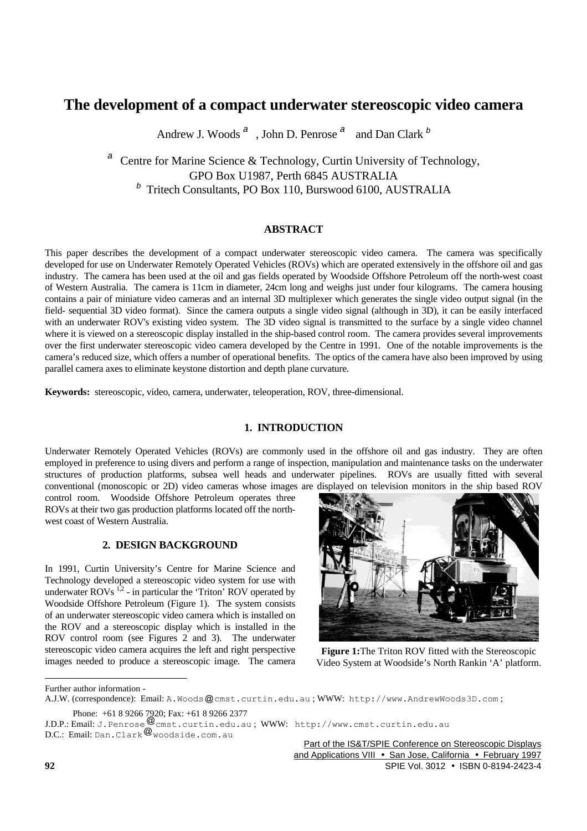# **The development of a compact underwater stereoscopic video camera**

Andrew J. Woods *<sup>a</sup>* , John D. Penrose *<sup>a</sup>* and Dan Clark *<sup>b</sup>*

Centre for Marine Science & Technology, Curtin University of Technology, GPO Box U1987, Perth 6845 AUSTRALIA *b* Tritech Consultants, PO Box 110, Burswood 6100, AUSTRALIA

## **ABSTRACT**

This paper describes the development of a compact underwater stereoscopic video camera. The camera was specifically developed for use on Underwater Remotely Operated Vehicles (ROVs) which are operated extensively in the offshore oil and gas industry. The camera has been used at the oil and gas fields operated by Woodside Offshore Petroleum off the north-west coast of Western Australia. The camera is 11cm in diameter, 24cm long and weighs just under four kilograms. The camera housing contains a pair of miniature video cameras and an internal 3D multiplexer which generates the single video output signal (in the field- sequential 3D video format). Since the camera outputs a single video signal (although in 3D), it can be easily interfaced with an underwater ROV's existing video system. The 3D video signal is transmitted to the surface by a single video channel where it is viewed on a stereoscopic display installed in the ship-based control room. The camera provides several improvements over the first underwater stereoscopic video camera developed by the Centre in 1991. One of the notable improvements is the camera's reduced size, which offers a number of operational benefits. The optics of the camera have also been improved by using parallel camera axes to eliminate keystone distortion and depth plane curvature.

**Keywords:** stereoscopic, video, camera, underwater, teleoperation, ROV, three-dimensional.

## **1. INTRODUCTION**

Underwater Remotely Operated Vehicles (ROVs) are commonly used in the offshore oil and gas industry. They are often employed in preference to using divers and perform a range of inspection, manipulation and maintenance tasks on the underwater structures of production platforms, subsea well heads and underwater pipelines. ROVs are usually fitted with several conventional (monoscopic or 2D) video cameras whose images are displayed on television monitors in the ship based ROV

control room. Woodside Offshore Petroleum operates three ROVs at their two gas production platforms located off the northwest coast of Western Australia.

## **2. DESIGN BACKGROUND**

In 1991, Curtin University's Centre for Marine Science and Technology developed a stereoscopic video system for use with underwater  $ROVs$ <sup>1,2</sup> - in particular the 'Triton' ROV operated by Woodside Offshore Petroleum (Figure 1). The system consists of an underwater stereoscopic video camera which is installed on the ROV and a stereoscopic display which is installed in the ROV control room (see Figures 2 and 3). The underwater stereoscopic video camera acquires the left and right perspective images needed to produce a stereoscopic image. The camera



**Figure 1:**The Triton ROV fitted with the Stereoscopic Video System at Woodside's North Rankin 'A' platform.

 $D.C.:$  Email: <code>Dan.Clark</code>  $\mathcal C$  woodside.com.au

Part of the IS&T/SPIE Conference on Stereoscopic Displays and Applications VIII • San Jose, California • February 1997 **92** SPIE Vol. 3012 • ISBN 0-8194-2423-4

 $\overline{a}$ 

Further author information -

A.J.W. (correspondence): Email: A.Woods @cmst.curtin.edu.au ; WWW: http://www.AndrewWoods3D.com; Phone: +61 8 9266 7920; Fax: +61 8 9266 2377

J.D.P.: Email: J.Penrose cmst.curtin.edu.au ; WWW: http://www.cmst.curtin.edu.au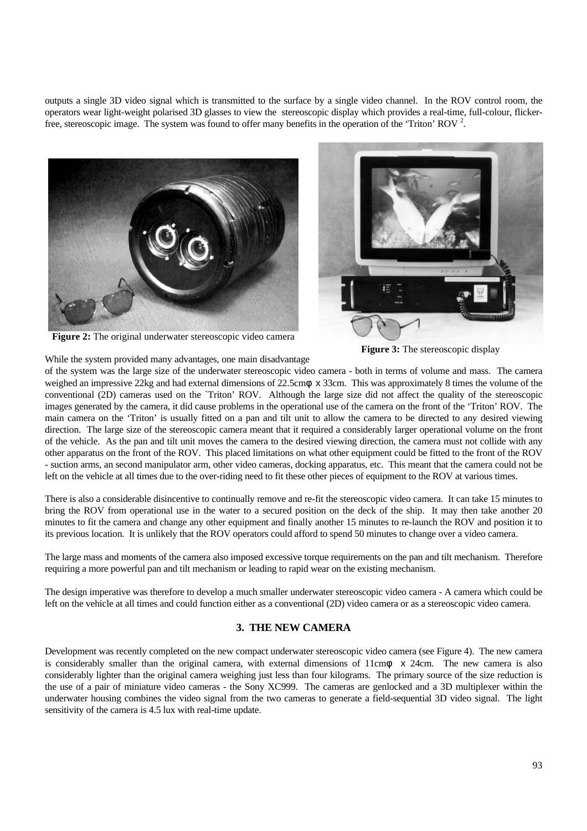outputs a single 3D video signal which is transmitted to the surface by a single video channel. In the ROV control room, the operators wear light-weight polarised 3D glasses to view the stereoscopic display which provides a real-time, full-colour, flickerfree, stereoscopic image. The system was found to offer many benefits in the operation of the 'Triton' ROV<sup>2</sup>.





**Figure 2:** The original underwater stereoscopic video camera

**Figure 3:** The stereoscopic display

While the system provided many advantages, one main disadvantage

of the system was the large size of the underwater stereoscopic video camera - both in terms of volume and mass. The camera weighed an impressive 22kg and had external dimensions of 22.5cm*f* x 33cm. This was approximately 8 times the volume of the conventional (2D) cameras used on the `Triton' ROV. Although the large size did not affect the quality of the stereoscopic images generated by the camera, it did cause problems in the operational use of the camera on the front of the 'Triton' ROV. The main camera on the 'Triton' is usually fitted on a pan and tilt unit to allow the camera to be directed to any desired viewing direction. The large size of the stereoscopic camera meant that it required a considerably larger operational volume on the front of the vehicle. As the pan and tilt unit moves the camera to the desired viewing direction, the camera must not collide with any other apparatus on the front of the ROV. This placed limitations on what other equipment could be fitted to the front of the ROV - suction arms, an second manipulator arm, other video cameras, docking apparatus, etc. This meant that the camera could not be left on the vehicle at all times due to the over-riding need to fit these other pieces of equipment to the ROV at various times.

There is also a considerable disincentive to continually remove and re-fit the stereoscopic video camera. It can take 15 minutes to bring the ROV from operational use in the water to a secured position on the deck of the ship. It may then take another 20 minutes to fit the camera and change any other equipment and finally another 15 minutes to re-launch the ROV and position it to its previous location. It is unlikely that the ROV operators could afford to spend 50 minutes to change over a video camera.

The large mass and moments of the camera also imposed excessive torque requirements on the pan and tilt mechanism. Therefore requiring a more powerful pan and tilt mechanism or leading to rapid wear on the existing mechanism.

The design imperative was therefore to develop a much smaller underwater stereoscopic video camera - A camera which could be left on the vehicle at all times and could function either as a conventional (2D) video camera or as a stereoscopic video camera.

## **3. THE NEW CAMERA**

Development was recently completed on the new compact underwater stereoscopic video camera (see Figure 4). The new camera is considerably smaller than the original camera, with external dimensions of 11cm*f* x 24cm. The new camera is also considerably lighter than the original camera weighing just less than four kilograms. The primary source of the size reduction is the use of a pair of miniature video cameras - the Sony XC999. The cameras are genlocked and a 3D multiplexer within the underwater housing combines the video signal from the two cameras to generate a field-sequential 3D video signal. The light sensitivity of the camera is 4.5 lux with real-time update.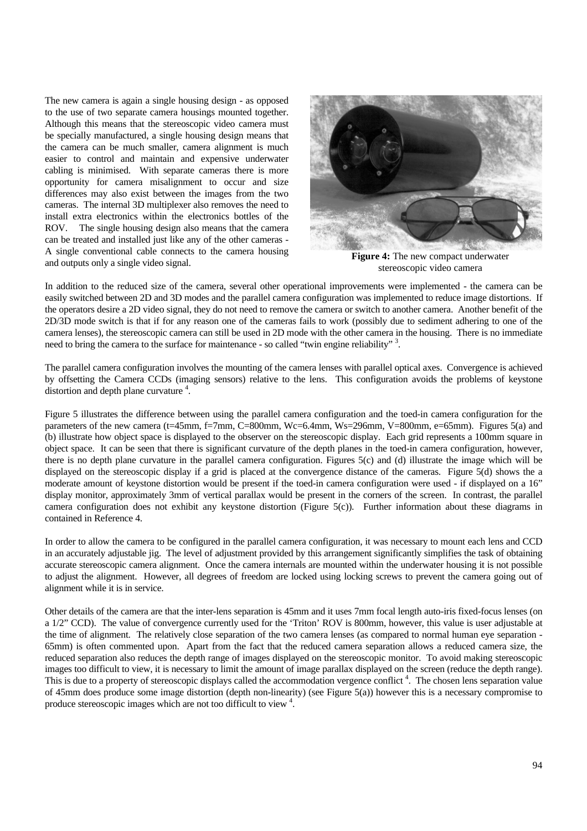The new camera is again a single housing design - as opposed to the use of two separate camera housings mounted together. Although this means that the stereoscopic video camera must be specially manufactured, a single housing design means that the camera can be much smaller, camera alignment is much easier to control and maintain and expensive underwater cabling is minimised. With separate cameras there is more opportunity for camera misalignment to occur and size differences may also exist between the images from the two cameras. The internal 3D multiplexer also removes the need to install extra electronics within the electronics bottles of the ROV. The single housing design also means that the camera can be treated and installed just like any of the other cameras - A single conventional cable connects to the camera housing and outputs only a single video signal.



**Figure 4:** The new compact underwater stereoscopic video camera

In addition to the reduced size of the camera, several other operational improvements were implemented - the camera can be easily switched between 2D and 3D modes and the parallel camera configuration was implemented to reduce image distortions. If the operators desire a 2D video signal, they do not need to remove the camera or switch to another camera. Another benefit of the 2D/3D mode switch is that if for any reason one of the cameras fails to work (possibly due to sediment adhering to one of the camera lenses), the stereoscopic camera can still be used in 2D mode with the other camera in the housing. There is no immediate need to bring the camera to the surface for maintenance - so called "twin engine reliability"<sup>3</sup>.

The parallel camera configuration involves the mounting of the camera lenses with parallel optical axes. Convergence is achieved by offsetting the Camera CCDs (imaging sensors) relative to the lens. This configuration avoids the problems of keystone distortion and depth plane curvature  $4$ .

Figure 5 illustrates the difference between using the parallel camera configuration and the toed-in camera configuration for the parameters of the new camera (t=45mm, f=7mm, C=800mm, Wc=6.4mm, Ws=296mm, V=800mm, e=65mm). Figures 5(a) and (b) illustrate how object space is displayed to the observer on the stereoscopic display. Each grid represents a 100mm square in object space. It can be seen that there is significant curvature of the depth planes in the toed-in camera configuration, however, there is no depth plane curvature in the parallel camera configuration. Figures 5(c) and (d) illustrate the image which will be displayed on the stereoscopic display if a grid is placed at the convergence distance of the cameras. Figure 5(d) shows the a moderate amount of keystone distortion would be present if the toed-in camera configuration were used - if displayed on a 16" display monitor, approximately 3mm of vertical parallax would be present in the corners of the screen. In contrast, the parallel camera configuration does not exhibit any keystone distortion (Figure 5(c)). Further information about these diagrams in contained in Reference 4.

In order to allow the camera to be configured in the parallel camera configuration, it was necessary to mount each lens and CCD in an accurately adjustable jig. The level of adjustment provided by this arrangement significantly simplifies the task of obtaining accurate stereoscopic camera alignment. Once the camera internals are mounted within the underwater housing it is not possible to adjust the alignment. However, all degrees of freedom are locked using locking screws to prevent the camera going out of alignment while it is in service.

Other details of the camera are that the inter-lens separation is 45mm and it uses 7mm focal length auto-iris fixed-focus lenses (on a 1/2" CCD). The value of convergence currently used for the 'Triton' ROV is 800mm, however, this value is user adjustable at the time of alignment. The relatively close separation of the two camera lenses (as compared to normal human eye separation - 65mm) is often commented upon. Apart from the fact that the reduced camera separation allows a reduced camera size, the reduced separation also reduces the depth range of images displayed on the stereoscopic monitor. To avoid making stereoscopic images too difficult to view, it is necessary to limit the amount of image parallax displayed on the screen (reduce the depth range). This is due to a property of stereoscopic displays called the accommodation vergence conflict<sup>4</sup>. The chosen lens separation value of 45mm does produce some image distortion (depth non-linearity) (see Figure 5(a)) however this is a necessary compromise to produce stereoscopic images which are not too difficult to view  $4$ .